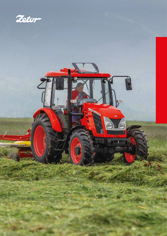

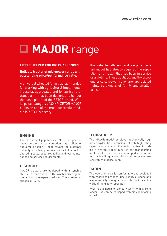# **MAJOR** range

#### **LITTLE HELPER FOR BIG CHALLENGES**

#### **Reliable tractor of mid-power range with outstanding price/performance ratio.**

A universal wheeled farm tractor, intended for working with agricultural implements, industrial aggregates and for agricultural transport. It has been designed to honour the basic pillars of the ZETOR brand. With its power category of 80 HP, ZETOR MAJOR builds on one of the most successful models in ZETOR's history.

This reliable, efficient and easy-to-maintain model has already acquired the reputation of a tractor that has been in service for a lifetime. These qualities, and the excellent price-to-power ratio, are appreciated mainly by owners of family and smaller farms.

### **ENGINE**

The exceptional popularity of ZETOR engines is based on low fuel consumption, high reliability and simple design – these reward the customer not only with low purchase costs but also low operating costs, great reliability, and low maintenance and service requirements.

# **GEARBOX**

MAJOR tractors are equipped with a synchro shuttle, a four-speed, fully synchronized gearbox and a three-speed reducer. The number of speeds is 12/12.

# **HYDRAULICS**

The MAJOR model employs mechanically regulated hydraulics, featuring not only high lifting capacity but also smooth starting control, including a hydraulic lock function for transporting implements. The tractor is equipped with two or four hydraulic quickcouplers and one pressureless return quickcoupler.

## **CABIN**

The operator area is comfortable and designed with regard to practical use. Plenty of space and ergonomically designed controls facilitate the work of the tractor operator.

Roof has a hatch to simplify work with a front loader. Cab can be equipped with air-conditioning or radio.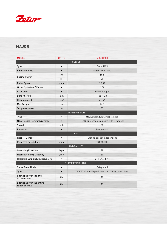

# MAJOR

| <b>MODEL</b>                                  | <b>UNITS</b>    | <b>MAJOR 80</b>                                 |  |  |  |
|-----------------------------------------------|-----------------|-------------------------------------------------|--|--|--|
| <b>ENGINE</b>                                 |                 |                                                 |  |  |  |
| Type                                          | $\bullet$       | Zetor 1105                                      |  |  |  |
| <b>Emission level</b>                         | $\bullet$       | Stage IIIA / Tier 3                             |  |  |  |
| <b>Engine Power</b>                           | kW              | 55.6                                            |  |  |  |
|                                               | <b>HP</b>       | 76                                              |  |  |  |
| <b>Rated Speed</b>                            | rpm             | 2,200                                           |  |  |  |
| No. of Cylinders / Valves                     | $\bullet$       | 4/8                                             |  |  |  |
| Aspiration                                    | $\bullet$       | Turbocharged                                    |  |  |  |
| Bore / Stroke                                 | mm              | 105/120                                         |  |  |  |
| Displacement                                  | cm <sup>3</sup> | 4,156                                           |  |  |  |
| <b>Max Torque</b>                             | <b>Nm</b>       | 317                                             |  |  |  |
| Torque reserve                                | $\%$            | 35                                              |  |  |  |
| <b>TRANSMISSION</b>                           |                 |                                                 |  |  |  |
| <b>Type</b>                                   | $\bullet$       | Mechanical, fully synchronized                  |  |  |  |
| No. of Gears (forward/reverse)                | $\bullet$       | 12/12 (4 Mechanical gears with 3 ranges)        |  |  |  |
| Speed                                         | kph             | 30                                              |  |  |  |
| Reversor                                      | $\bullet$       | Mechanical                                      |  |  |  |
| PT <sub>0</sub>                               |                 |                                                 |  |  |  |
| Rear PTO type                                 | $\bullet$       | Ground speed/ Independent                       |  |  |  |
| <b>Rear PTO Revolutions</b>                   | rpm             | 540/1,000                                       |  |  |  |
| <b>HYDRAULICS</b>                             |                 |                                                 |  |  |  |
| <b>Operating Pressure</b>                     | Mpa             | 18                                              |  |  |  |
| <b>Hydraulic Pump Capacity</b>                | l/min           | 50                                              |  |  |  |
| <b>Hydraulic Outputs (Quickcouplers)</b>      | $\bullet$       | 2+1 or 4+1 OPT                                  |  |  |  |
| THREE POINT HITCH                             |                 |                                                 |  |  |  |
| <b>Three Point Hitch</b>                      | $\bullet$       | Category II                                     |  |  |  |
| Type                                          | $\bullet$       | Mechanical with positional and power regulation |  |  |  |
| Lift Capacity at the end<br>of Lower Links    | kN              | 18                                              |  |  |  |
| Lift Capacity in the entire<br>range of links | kN              | 15                                              |  |  |  |